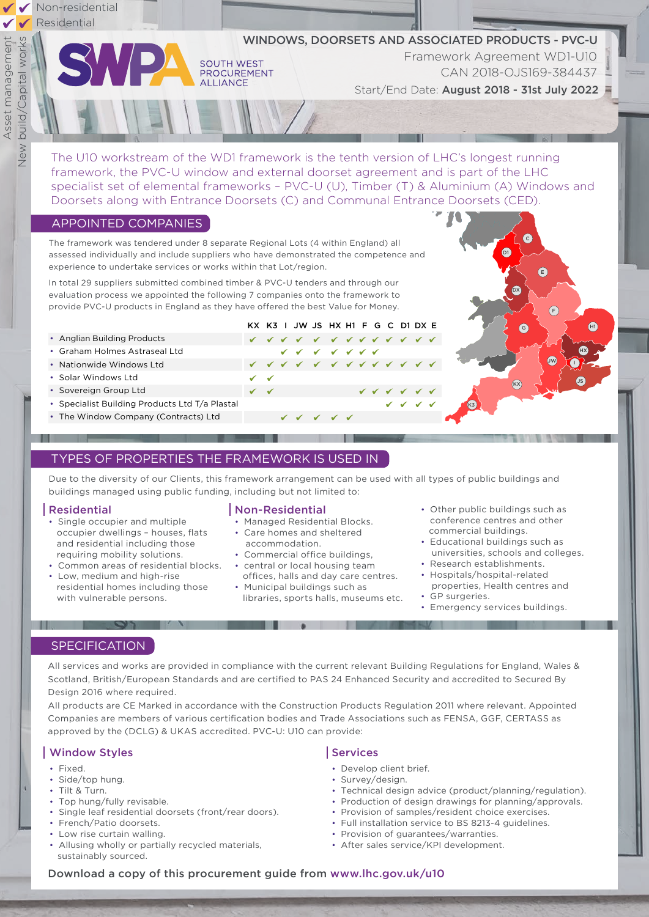

The U10 workstream of the WD1 framework is the tenth version of LHC's longest running framework, the PVC-U window and external doorset agreement and is part of the LHC specialist set of elemental frameworks – PVC-U (U), Timber (T) & Aluminium (A) Windows and Doorsets along with Entrance Doorsets (C) and Communal Entrance Doorsets (CED).

WINDOWS, DOORSETS AND ASSOCIATED PRODUCTS - PVC-U

KX K3 I JW JS HX H1 F G C D1 DX E

# APPOINTED COMPANIES

The framework was tendered under 8 separate Regional Lots (4 within England) all assessed individually and include suppliers who have demonstrated the competence and experience to undertake services or works within that Lot/region.

**SOUTH WEST PROCUREMENT** 

**ALLIANCE** 

In total 29 suppliers submitted combined timber & PVC-U tenders and through our evaluation process we appointed the following 7 companies onto the framework to provide PVC-U products in England as they have offered the best Value for Money.

- Anglian Building Products
- Graham Holmes Astraseal Ltd
- Nationwide Windows Ltd
- Solar Windows Ltd
- Sovereign Group Ltd
- Specialist Building Products Ltd T/a Plastal
- The Window Company (Contracts) Ltd

# TYPES OF PROPERTIES THE FRAMEWORK IS USED IN

Due to the diversity of our Clients, this framework arrangement can be used with all types of public buildings and buildings managed using public funding, including but not limited to:

## Residential

- Single occupier and multiple occupier dwellings – houses, flats and residential including those requiring mobility solutions.
- Common areas of residential blocks. central or local housing team
- Low, medium and high-rise residential homes including those with vulnerable persons.

## Non-Residential

- Managed Residential Blocks.
- Care homes and sheltered accommodation.
- Commercial office buildings,
- 
- offices, halls and day care centres.
- Municipal buildings such as libraries, sports halls, museums etc.
- Other public buildings such as conference centres and other commercial buildings.
- Educational buildings such as universities, schools and colleges.

C

E

 $(F)$ 

JW **I** 

HX

 $\bigoplus$ 

 $\bigcirc$ 

Start/End Date: August 2018 - 31st July 2022

**TA** 

Framework Agreement WD1-U10

CAN 2018-OJS169-384437

DX

 $\overline{G}$ 

 $\overline{(\mathsf{k}\mathsf{x})}$ 

• Research establishments.

K3

- Hospitals/hospital-related properties, Health centres and • GP surgeries.
- Emergency services buildings.

# **SPECIFICATION**

 $\sim$   $\sim$   $\sim$   $\sim$   $\sim$ 

All services and works are provided in compliance with the current relevant Building Regulations for England, Wales & Scotland, British/European Standards and are certified to PAS 24 Enhanced Security and accredited to Secured By Design 2016 where required.

All products are CE Marked in accordance with the Construction Products Regulation 2011 where relevant. Appointed Companies are members of various certification bodies and Trade Associations such as FENSA, GGF, CERTASS as approved by the (DCLG) & UKAS accredited. PVC-U: U10 can provide:

# Window Styles

- Fixed.
- Side/top hung.
- Tilt & Turn.
- Top hung/fully revisable.
- Single leaf residential doorsets (front/rear doors).
- French/Patio doorsets.
- Low rise curtain walling.
- Allusing wholly or partially recycled materials, sustainably sourced.

# Services

- Develop client brief.
- Survey/design.
- Technical design advice (product/planning/regulation).
- Production of design drawings for planning/approvals.
- Provision of samples/resident choice exercises.
- Full installation service to BS 8213-4 guidelines.
- Provision of guarantees/warranties.
- After sales service/KPI development.

## Download a copy of this procurement guide from www.lhc.gov.uk/u10